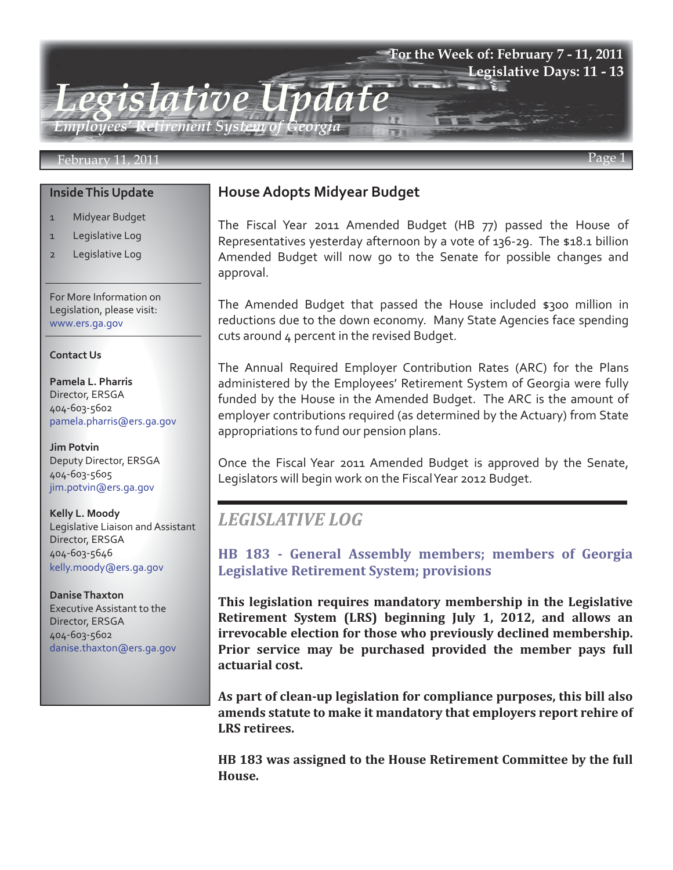# *Legislative Update Employees' Retirement System of Georgia*  **For the Week of: February 7 - 11, 2011 Legislative Days: 11 - 13**

#### February 11, 2011 Page 1

#### **Inside This Update**

- 1 Midyear Budget
- 1 Legislative Log
- 2 Legislative Log

For More Information on Legislation, please visit: www.ers.ga.gov

#### **Contact Us**

**Pamela L. Pharris** Director, ERSGA 404-603-5602 pamela.pharris@ers.ga.gov

**Jim Potvin** Deputy Director, ERSGA 404-603-5605 jim.potvin@ers.ga.gov

**Kelly L. Moody** Legislative Liaison and Assistant Director, ERSGA 404-603-5646 kelly.moody@ers.ga.gov

**Danise Thaxton** Executive Assistant to the Director, ERSGA 404-603-5602 danise.thaxton@ers.ga.gov

### **House Adopts Midyear Budget**

The Fiscal Year 2011 Amended Budget (HB 77) passed the House of Representatives yesterday afternoon by a vote of 136-29. The \$18.1 billion Amended Budget will now go to the Senate for possible changes and approval.

The Amended Budget that passed the House included \$300 million in reductions due to the down economy. Many State Agencies face spending cuts around 4 percent in the revised Budget.

The Annual Required Employer Contribution Rates (ARC) for the Plans administered by the Employees' Retirement System of Georgia were fully funded by the House in the Amended Budget. The ARC is the amount of employer contributions required (as determined by the Actuary) from State appropriations to fund our pension plans.

Once the Fiscal Year 2011 Amended Budget is approved by the Senate, Legislators will begin work on the Fiscal Year 2012 Budget.

## *LEGISLATIVE LOG*

**[HB 183 - General Assembly members; members of Georgia](http://www.legis.ga.gov/Legislation/20112012/109222.pdf)  Legislative Retirement System; provisions**

**This legislation requires mandatory membership in the Legislative Retirement System (LRS) beginning July 1, 2012, and allows an irrevocable election for those who previously declined membership. Prior service may be purchased provided the member pays full actuarial cost.**

**As part of clean-up legislation for compliance purposes, this bill also amends statute to make it mandatory that employers report rehire of LRS retirees.**

**HB 183 was assigned to the House Retirement Committee by the full House.**